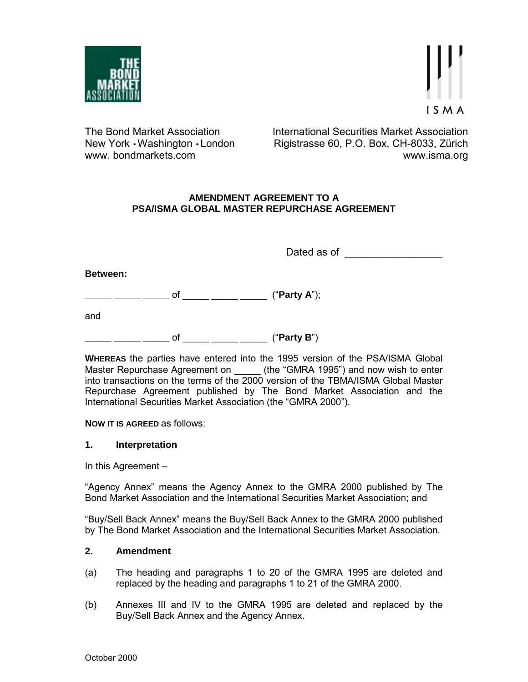



**ISMA** 

The Bond Market Association New York • Washington • London www. bondmarkets.com

International Securities Market Association Rigistrasse 60, P.O. Box, CH-8033, Zürich www.isma.org

## **AMENDMENT AGREEMENT TO A PSA/ISMA GLOBAL MASTER REPURCHASE AGREEMENT**

Dated as of \_\_\_\_\_\_\_\_\_\_\_\_\_\_\_\_\_

**Between:**

**\_\_\_\_\_ \_\_\_\_\_ \_\_\_\_\_** of \_\_\_\_\_ \_\_\_\_\_ \_\_\_\_\_ (ì**Party A**î);

and

**of**  $($ **<sup>** $($  $)$ **</sup><b>Party B**<sup>n</sup> $)$ 

**WHEREAS** the parties have entered into the 1995 version of the PSA/ISMA Global Master Repurchase Agreement on (the "GMRA 1995") and now wish to enter into transactions on the terms of the 2000 version of the TBMA/ISMA Global Master Repurchase Agreement published by The Bond Market Association and the International Securities Market Association (the "GMRA 2000").

**NOW IT IS AGREED** as follows:

## **1. Interpretation**

In this Agreement  $-$ 

"Agency Annex" means the Agency Annex to the GMRA 2000 published by The Bond Market Association and the International Securities Market Association; and

"Buy/Sell Back Annex" means the Buy/Sell Back Annex to the GMRA 2000 published by The Bond Market Association and the International Securities Market Association.

## **2. Amendment**

- (a) The heading and paragraphs 1 to 20 of the GMRA 1995 are deleted and replaced by the heading and paragraphs 1 to 21 of the GMRA 2000.
- (b) Annexes III and IV to the GMRA 1995 are deleted and replaced by the Buy/Sell Back Annex and the Agency Annex.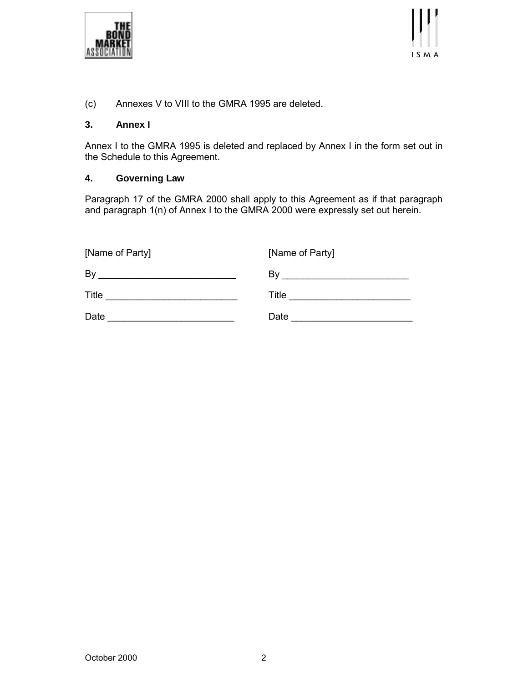



(c) Annexes V to VIII to the GMRA 1995 are deleted.

## **3. Annex I**

Annex I to the GMRA 1995 is deleted and replaced by Annex I in the form set out in the Schedule to this Agreement.

# **4. Governing Law**

Paragraph 17 of the GMRA 2000 shall apply to this Agreement as if that paragraph and paragraph 1(n) of Annex I to the GMRA 2000 were expressly set out herein.

| [Name of Party]                                                                                                       | [Name of Party] |
|-----------------------------------------------------------------------------------------------------------------------|-----------------|
| By                                                                                                                    | By              |
| <u> 1989 - Johann Harry Harry Harry Harry Harry Harry Harry Harry Harry Harry Harry Harry Harry Harry Harry Harry</u> |                 |
| Title                                                                                                                 | Title           |
|                                                                                                                       |                 |
| Date                                                                                                                  | Date            |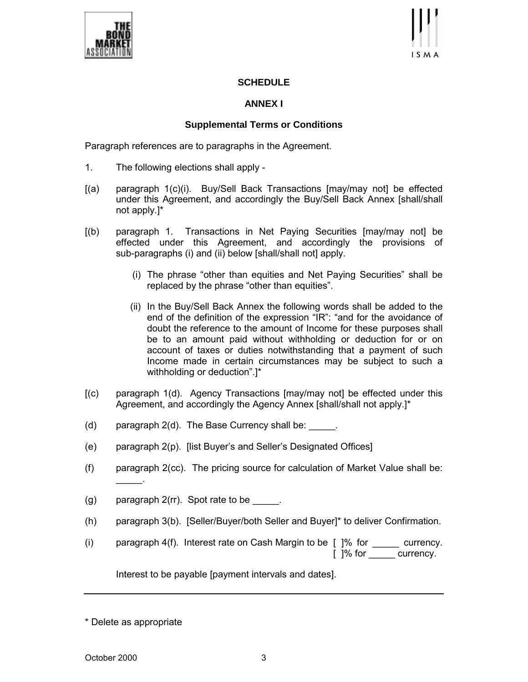

### **SCHEDULE**

### **ANNEX I**

### **Supplemental Terms or Conditions**

Paragraph references are to paragraphs in the Agreement.

- 1. The following elections shall apply -
- [(a) paragraph 1(c)(i). Buy/Sell Back Transactions [may/may not] be effected under this Agreement, and accordingly the Buy/Sell Back Annex [shall/shall not apply.]\*
- [(b) paragraph 1. Transactions in Net Paying Securities [may/may not] be effected under this Agreement, and accordingly the provisions of sub-paragraphs (i) and (ii) below [shall/shall not] apply.
	- (i) The phrase "other than equities and Net Paying Securities" shall be replaced by the phrase "other than equities".
	- (ii) In the Buy/Sell Back Annex the following words shall be added to the end of the definition of the expression "IR": "and for the avoidance of doubt the reference to the amount of Income for these purposes shall be to an amount paid without withholding or deduction for or on account of taxes or duties notwithstanding that a payment of such Income made in certain circumstances may be subject to such a withholding or deduction".]\*
- [(c) paragraph 1(d). Agency Transactions [may/may not] be effected under this Agreement, and accordingly the Agency Annex [shall/shall not apply.]\*
- (d) paragraph 2(d). The Base Currency shall be: \_\_\_\_\_\_.
- (e) paragraph 2(p). [list Buyerís and Sellerís Designated Offices]
- (f) paragraph 2(cc). The pricing source for calculation of Market Value shall be:  $\overline{\phantom{a}}$  .
- $(g)$  paragraph  $2$ (rr). Spot rate to be  $\qquad \qquad$ .
- (h) paragraph 3(b). [Seller/Buyer/both Seller and Buyer]\* to deliver Confirmation.
- (i) paragraph 4(f). Interest rate on Cash Margin to be [ ]% for \_\_\_\_\_ currency. [ ]% for currency.

Interest to be payable [payment intervals and dates].

<sup>\*</sup> Delete as appropriate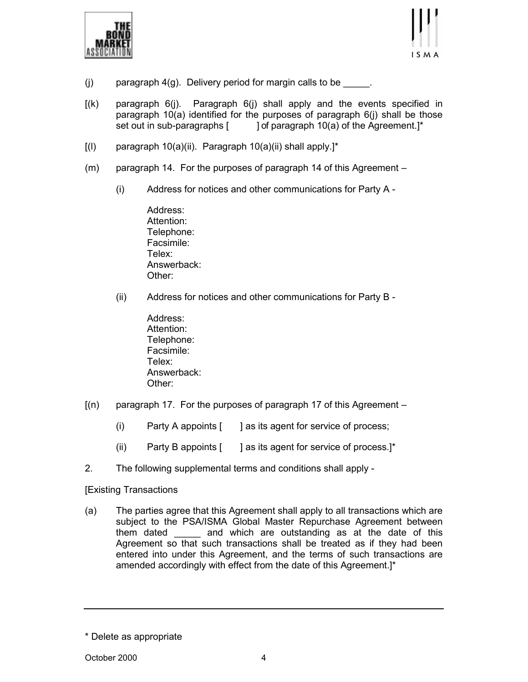

- (i) paragraph  $4(g)$ . Delivery period for margin calls to be  $\qquad \qquad$ .
- [(k) paragraph 6(j). Paragraph 6(j) shall apply and the events specified in paragraph 10(a) identified for the purposes of paragraph 6(j) shall be those set out in sub-paragraphs  $[$  **l** of paragraph 10(a) of the Agreement.]\*
- $[(1)$  paragraph 10(a)(ii). Paragraph 10(a)(ii) shall apply.]\*
- $(m)$  paragraph 14. For the purposes of paragraph 14 of this Agreement
	- (i) Address for notices and other communications for Party A -

Address: Attention: Telephone: Facsimile: Telex: Answerback: Other:

- (ii) Address for notices and other communications for Party B
	- Address: Attention: Telephone: Facsimile: Telex: Answerback: Other:
- $\int (n)$  paragraph 17. For the purposes of paragraph 17 of this Agreement
	- (i) Party A appoints [ ] as its agent for service of process;
	- (ii) Party B appoints  $\begin{bmatrix} 1 \\ 3 \end{bmatrix}$  as its agent for service of process.]\*
- 2. The following supplemental terms and conditions shall apply -

[Existing Transactions

(a) The parties agree that this Agreement shall apply to all transactions which are subject to the PSA/ISMA Global Master Repurchase Agreement between them dated \_\_\_\_\_ and which are outstanding as at the date of this Agreement so that such transactions shall be treated as if they had been entered into under this Agreement, and the terms of such transactions are amended accordingly with effect from the date of this Agreement.]\*

<sup>\*</sup> Delete as appropriate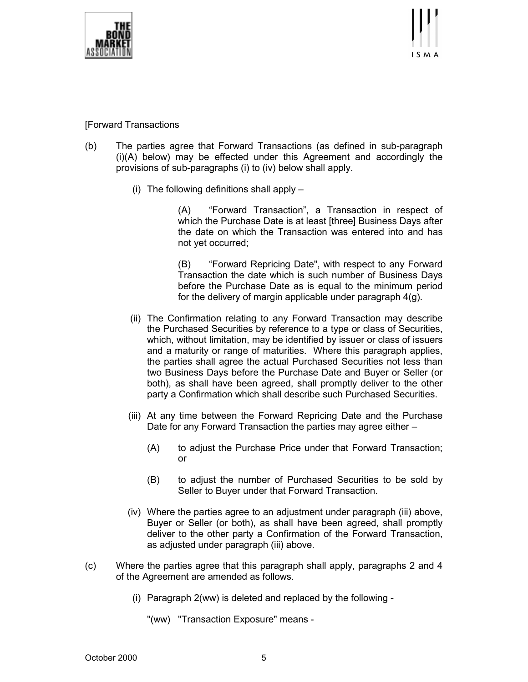

**ISMA** 

## [Forward Transactions

- (b) The parties agree that Forward Transactions (as defined in sub-paragraph (i)(A) below) may be effected under this Agreement and accordingly the provisions of sub-paragraphs (i) to (iv) below shall apply.
	- (i) The following definitions shall apply  $-$

(A) "Forward Transaction", a Transaction in respect of which the Purchase Date is at least [three] Business Days after the date on which the Transaction was entered into and has not yet occurred;

(B) "Forward Repricing Date", with respect to any Forward Transaction the date which is such number of Business Days before the Purchase Date as is equal to the minimum period for the delivery of margin applicable under paragraph 4(g).

- (ii) The Confirmation relating to any Forward Transaction may describe the Purchased Securities by reference to a type or class of Securities, which, without limitation, may be identified by issuer or class of issuers and a maturity or range of maturities. Where this paragraph applies, the parties shall agree the actual Purchased Securities not less than two Business Days before the Purchase Date and Buyer or Seller (or both), as shall have been agreed, shall promptly deliver to the other party a Confirmation which shall describe such Purchased Securities.
- (iii) At any time between the Forward Repricing Date and the Purchase Date for any Forward Transaction the parties may agree either -
	- (A) to adjust the Purchase Price under that Forward Transaction; or
	- (B) to adjust the number of Purchased Securities to be sold by Seller to Buyer under that Forward Transaction.
- (iv) Where the parties agree to an adjustment under paragraph (iii) above, Buyer or Seller (or both), as shall have been agreed, shall promptly deliver to the other party a Confirmation of the Forward Transaction, as adjusted under paragraph (iii) above.
- (c) Where the parties agree that this paragraph shall apply, paragraphs 2 and 4 of the Agreement are amended as follows.
	- (i) Paragraph 2(ww) is deleted and replaced by the following
		- "(ww) "Transaction Exposure" means -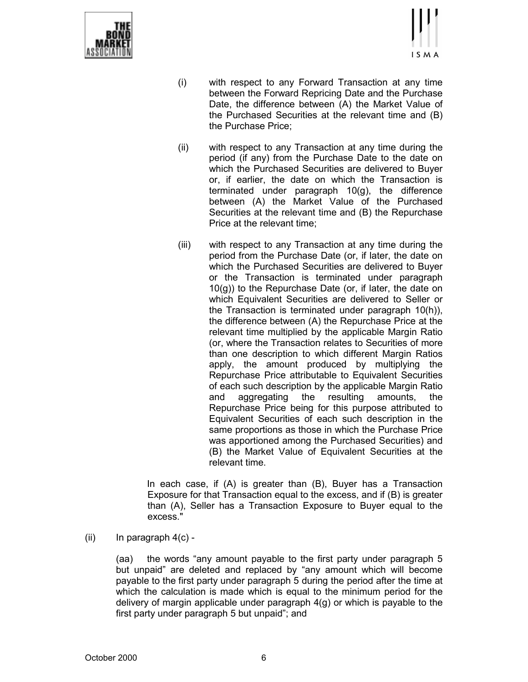

- (i) with respect to any Forward Transaction at any time between the Forward Repricing Date and the Purchase Date, the difference between (A) the Market Value of the Purchased Securities at the relevant time and (B) the Purchase Price;
- (ii) with respect to any Transaction at any time during the period (if any) from the Purchase Date to the date on which the Purchased Securities are delivered to Buyer or, if earlier, the date on which the Transaction is terminated under paragraph 10(g), the difference between (A) the Market Value of the Purchased Securities at the relevant time and (B) the Repurchase Price at the relevant time;
- (iii) with respect to any Transaction at any time during the period from the Purchase Date (or, if later, the date on which the Purchased Securities are delivered to Buyer or the Transaction is terminated under paragraph  $10<sub>(g)</sub>$ ) to the Repurchase Date (or, if later, the date on which Equivalent Securities are delivered to Seller or the Transaction is terminated under paragraph 10(h)), the difference between (A) the Repurchase Price at the relevant time multiplied by the applicable Margin Ratio (or, where the Transaction relates to Securities of more than one description to which different Margin Ratios apply, the amount produced by multiplying the Repurchase Price attributable to Equivalent Securities of each such description by the applicable Margin Ratio and aggregating the resulting amounts, the Repurchase Price being for this purpose attributed to Equivalent Securities of each such description in the same proportions as those in which the Purchase Price was apportioned among the Purchased Securities) and (B) the Market Value of Equivalent Securities at the relevant time.

In each case, if (A) is greater than (B), Buyer has a Transaction Exposure for that Transaction equal to the excess, and if (B) is greater than (A), Seller has a Transaction Exposure to Buyer equal to the excess."

 $(ii)$  In paragraph  $4(c)$  -

 $(aa)$  the words "any amount payable to the first party under paragraph 5 but unpaid" are deleted and replaced by "any amount which will become payable to the first party under paragraph 5 during the period after the time at which the calculation is made which is equal to the minimum period for the delivery of margin applicable under paragraph 4(g) or which is payable to the first party under paragraph 5 but unpaid"; and